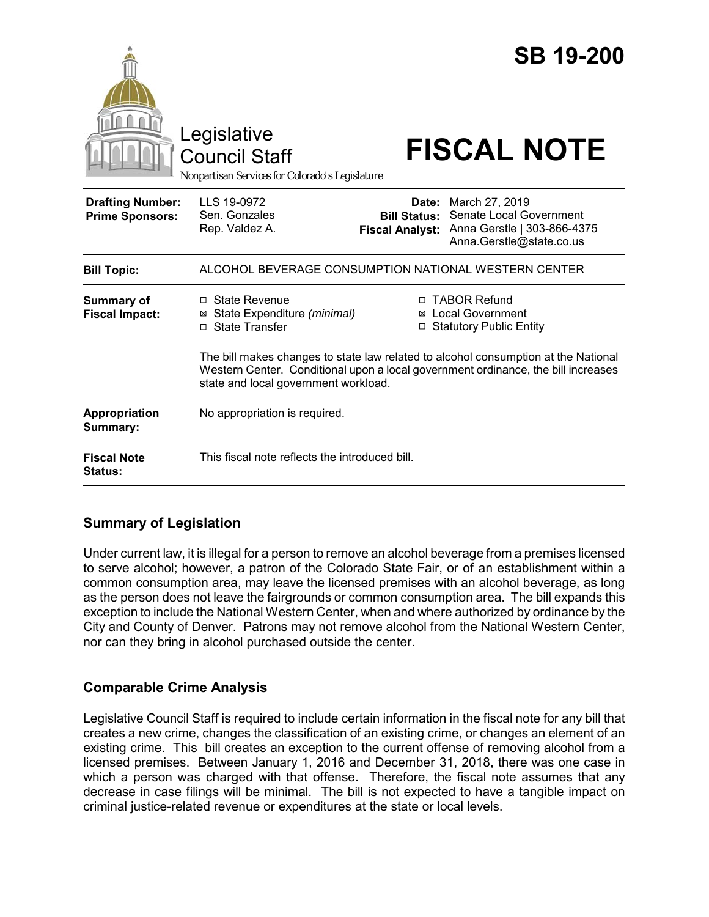|                                                   | Legislative<br><b>Council Staff</b><br>Nonpartisan Services for Colorado's Legislature                               |                                                                                                                                                                                                                                                   | <b>SB 19-200</b><br><b>FISCAL NOTE</b>                                                                            |
|---------------------------------------------------|----------------------------------------------------------------------------------------------------------------------|---------------------------------------------------------------------------------------------------------------------------------------------------------------------------------------------------------------------------------------------------|-------------------------------------------------------------------------------------------------------------------|
| <b>Drafting Number:</b><br><b>Prime Sponsors:</b> | LLS 19-0972<br>Sen. Gonzales<br>Rep. Valdez A.                                                                       | <b>Bill Status:</b><br><b>Fiscal Analyst:</b>                                                                                                                                                                                                     | <b>Date:</b> March 27, 2019<br>Senate Local Government<br>Anna Gerstle   303-866-4375<br>Anna.Gerstle@state.co.us |
| <b>Bill Topic:</b>                                | ALCOHOL BEVERAGE CONSUMPTION NATIONAL WESTERN CENTER                                                                 |                                                                                                                                                                                                                                                   |                                                                                                                   |
| <b>Summary of</b><br><b>Fiscal Impact:</b>        | $\Box$ State Revenue<br>State Expenditure (minimal)<br>⊠<br>□ State Transfer<br>state and local government workload. | □ TABOR Refund<br>⊠ Local Government<br><b>Statutory Public Entity</b><br>The bill makes changes to state law related to alcohol consumption at the National<br>Western Center. Conditional upon a local government ordinance, the bill increases |                                                                                                                   |
| Appropriation<br>Summary:                         | No appropriation is required.                                                                                        |                                                                                                                                                                                                                                                   |                                                                                                                   |
| <b>Fiscal Note</b><br>Status:                     | This fiscal note reflects the introduced bill.                                                                       |                                                                                                                                                                                                                                                   |                                                                                                                   |

# **Summary of Legislation**

Under current law, it is illegal for a person to remove an alcohol beverage from a premises licensed to serve alcohol; however, a patron of the Colorado State Fair, or of an establishment within a common consumption area, may leave the licensed premises with an alcohol beverage, as long as the person does not leave the fairgrounds or common consumption area. The bill expands this exception to include the National Western Center, when and where authorized by ordinance by the City and County of Denver. Patrons may not remove alcohol from the National Western Center, nor can they bring in alcohol purchased outside the center.

# **Comparable Crime Analysis**

Legislative Council Staff is required to include certain information in the fiscal note for any bill that creates a new crime, changes the classification of an existing crime, or changes an element of an existing crime. This bill creates an exception to the current offense of removing alcohol from a licensed premises. Between January 1, 2016 and December 31, 2018, there was one case in which a person was charged with that offense. Therefore, the fiscal note assumes that any decrease in case filings will be minimal. The bill is not expected to have a tangible impact on criminal justice-related revenue or expenditures at the state or local levels.